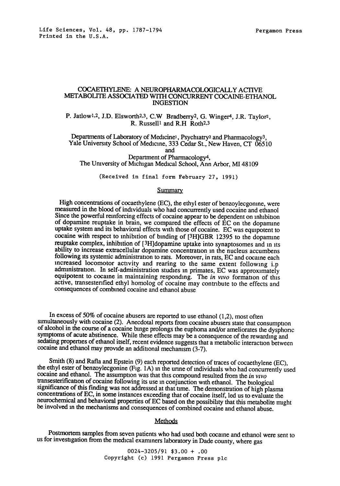# COCAETHYLENE: A NEUROPHARMACOLOGICALLY ACTIVE METABOLITE ASSOCIATED WITH CONCURRENT COCAINE-ETHANOL INGESTION

P. Jatlow<sup>1,2</sup>, J.D. Elsworth<sup>2,3</sup>, C.W Bradberry<sup>2</sup>, G. Winger<sup>4</sup>, J.R. Taylor<sup>2</sup>, R. Russell1 and R.H Roth2,3

Departments of Laboratory of Medicine<sup>1</sup>, Psychiatry<sup>2</sup> and Pharmacology<sup>3</sup>, Yale University School of Medicine, 333 Cedar St., New Haven, CT 06510 and Department of Pharmacology4,

The Umversity of Michigan Medical School, Ann Arbor, M148109

(Received in final form February 27, 1991)

### Summary

High concentrations of cocaethylene (EC), the ethyl ester of benzoylecgonine, were measured in the blood of individuals who had concurrently used cocaine and ethanol Since the powerful reinforcing effects of cocaine appear to be dependent on inhibition of dopamine reuptake in brain, we compared the effects of EC on the doparmne uptake system and its behavioral effects with those of cocaine. EC was equlpotent to cocaine with respect to inhibition of binding of [3H]GBR 12395 to the dopanune reuptake complex, inhibition of [3H]dopamine uptake into synaptosomes and m its ability to increase extracellular dopamine concentration in the nucleus accumbens following its systemic administration to rats. Moreover, in rats, EC and cocaine each increased locomotor activity and rearing to the same extent following i.p administration. In self-administration studies in primates, EC was approximately equipotent to cocaine in maintaining responding. The *in vivo* formation of this active, transestenfied ethyl homolog of cocaine may contribute to the effects and consequences of combined cocaine and ethanol abuse

In excess of 50% of cocaine abusers are reported to use ethanol (1,2), most often simultaneously with cocaine (2). Anecdotal reports from cocaine abusers state that consumption of alcohol in the course of a cocaine binge prolongs the euphoria and/or ameliorates the dysphonc symptoms of acute abstinence. While these effects may be a consequence of the rewarding and sedating propernes of ethanol itself, recent evidence suggests that a metabolic interacuon between cocaine and ethanol may provide an additional mechanism (3-7).

Smith (8) and Rafla and Epstein (9) each reported detection of traces of cocaethylene (EC), the ethyl ester of benzoylecgonine (Fig. 1A) m the unne of individuals who had concurrently used cocaine and ethanol. The assumpuon was that this compound resulted from the *in vlvo*  transesterificataon of cocaine following its use in conjunction with ethanol. The biological significance of this Finding was not addressed at that tame. The demonstration of high plasma concentrations of EC, in some instances exceeding that of cocaine itself, led us to evaluate the neurochemical and behavioral properties of EC based on the possibility that this metabolite might be involved m the mechanisms and consequences of combined cocaine and ethanol abuse.

# Methods

Postmortem samples from seven patients who had used both cocaine and ethanol were sent to us for investigation from the medical examiners laboratory in Dade county, where gas

> *0024-3205/91* \$3.00 + .00 Copyright (c) 1991 Pergamon Press plc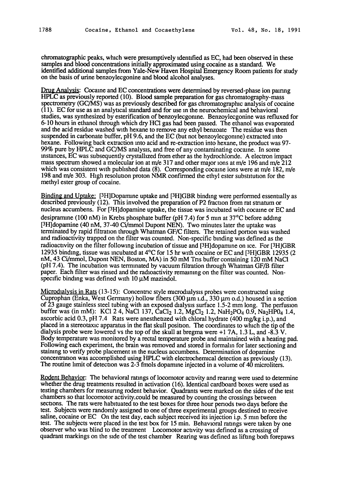chromatographic peaks, which were presumptively ldenufied as EC, had been observed in these samples and blood concentrations initially approximated using cocaine as a standard. We identified additional samples from Yale-New Haven Hospital Emergency Room patients for study on the basis of urine benzoylecgonine and blood alcohol analyses.

Drug Analysis: Cocaine and EC concentrations were determined by reversed-phase ion pairing HPLC as previously reported (10). Blood sample preparation for gas chromatography-mass spectrometry (GC/MS) was as previously described for gas chromatographic analysis of cocaine (11). EC for use as an analyucal standard and for use m the neurochemical and behavioral studies, was synthesized by esterification of benzoylecgonme. Benzoylecgonine was refluxed for 6-10 hours in ethanol through which dry HC1 gas had been passed. The ethanol was evaporated and the acid residue washed with hexane to remove any ethyl benzoate The residue was then suspended in carbonate buffer, pH 9.6, and the EC (but not benzoylecgonme) extracted into hexane. Following back extraction into acid and re-extraction into hexane, the product was 97- 99% pure by HPLC and GC/MS analysis, and free of any contaminating cocaine. In some instances, EC was subsequently crystalhzed from ether as the hydrochlonde. A electron impact mass spectrum showed a molecular ion at m/e 317 and other major ions at m/e 196 and m/e 212 which was consistent with published data  $(8)$ . Corresponding cocaine ions were at m/e 182, m/e 198 and m/e 303. High resolution proton NMR confirmed the ethyl ester substitution for the methyl ester group of cocaine.

Binding and Uptake: [3H]Dopamine uptake and [3H]GBR binding were performed essentially as described previously (12). This involved the preparation of P2 fraction from rat stnatum or nucleus accumbens. For [3H]dopamine uptake, the tissue was incubated with cocaine or EC and desipramme (100 nM) in Krebs phosphate buffer (pH 7.4) for 5 mm at 37°C before adding [3H]dopamine (40 nM, 37-40 Ci/mmol Dupont NEN). Two minutes later the uptake was terminated by rapid filtration through Whatman GF/C filters. The retained portion was washed and radioactivity trapped on the filter was counted. Non-specific binding was defined as the radioactivity on the filter following incubation of tissue and [3H]dopamine on ice. For [3H]GBR 12935 binding, tissue was incubated at 4°C for 15 hr with cocaine or EC and [3H]GBR 12935 (2 nM, 43 Ci/mmol, Dupont NEN, Boston, MA) in 50 mM Tris buffer containing 120 mM NaCl (pH 7.4). The incubation was terminated by vacuum filtration through Whatman GF/B filter paper. Each filter was rinsed and the radioactivity remaining on the filter was counted. Nonspecific binding was defined with  $10 \mu M$  mazindol.

Microdialysis in Rats  $(13-15)$ : Concentric style microdialysis probes were constructed using Cuprophan (Enka, West Germany) hollow fibers (300  $\mu$ m *i.d.*, 330  $\mu$ m o.d.) housed in a section of  $\overline{23}$  gauge stainless steel tubing with an exposed dialysis surface 1.5-2 mm long. The perfusion buffer was (in mM): KCl 2 4, NaCl 137, CaCl<sub>2</sub> 1.2, MgCl<sub>2</sub> 1.2, NaH<sub>2</sub>PO<sub>4</sub> 0.9, Na<sub>2</sub>HP<sub>04</sub> 1.4, ascorbic acid 0.3, pH 7.4 Rats were anesthetized with chloral hydrate  $(400 \text{ mg/kg} i.p.)$ , and placed in a stereotaxic apparatus in the flat skull position. The coordinates to which the tip of the dialysis probe were lowered vs the top of the skull at bregma were +1 7A, 1.3 L, and -8.3 V. Body temperature was monitored by a rectal temperature probe and maintained with a heating pad. Following each experiment, the brain was removed and stored in formalin for later sectioning and staining to verify probe placement in the nucleus accumbens. Determination of dopamine concentration was accomplished using HPLC with electrochermical detection as previously (13). The routine hmit of detecuon was 2-3 fmols dopamme injected in a volume of 40 microliters.

Rodent Behavior: The behavioral ratings of locomotor actavity and rearing were used to determine whether the drug treatments resulted in activation (16). Identical cardboard boxes were used as testing chambers for measunng rodent behavior. Quadrants were marked on the sides of the test chambers so that locomotor activity.could be measured by counting the crossings between sections. The rats were habituated to the test boxes for three hour periods two days before the test. Subjects were randomly assigned to one of three experimental groups destined to receive saline, cocaine or EC On the test day, each subject received its injection i.p. 5 mm before the test. The subjects were placed in the test box for 15 min. Behavioral ratangs were taken by one observer who was blind to the treatment Locomotor activity was defined as a crossing of quadrant markings on the side of the test chamber Rearing was defined as lifting both forepaws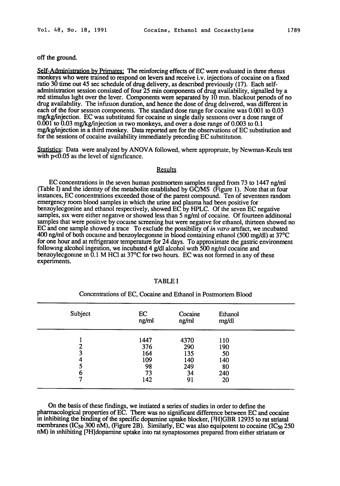off the ground.

Self-Administration by Primates: The reinforcing effects of EC were evaluated in three rhesus monkeys who were trained to respond on levers and receive i.v. injections of cocaine on a fixed ratio 30 time out 45 sec schedule of drug delivery, as described previously (17). Each selfadministration session consisted of four 25 rain components of drug availability, signalled by a red stimulus hght over the lever. Components were separated by 10 mm. blackout periods of no drug availability. The infusion duration, and hence the dose of drug delivered, was different in each of the four session components. The standard dose range for cocaine was 0.001 to 0.03 mg/kg/injection. EC was substituted for cocaine in single daily sessions over a dose range of 0.001 to 0.03 mg/kg/injection m two monkeys, and over a dose range of 0.003 to 0.1 mgtkg/injection in a third monkey. Data reported are for the observations of EC substitution and for the sessions of cocaine availability immediately preceding EC substitutaon.

Statistics: Data were analyzed by ANOVA followed, where appropriate, by Newman-Keuls test with  $p<0.05$  as the level of significance.

## **Results**

EC concentrations in the seven human postmortem samples ranged from 73 to 1447 ng/rnl (Table I) and the identity of the metabolite established by GC/MS (Figure 1). Note that m four instances, EC concentrations exceeded those of the parent compound. Ten of seventeen random emergency room blood samples in which the urine and plasma had been positive for benzoylecgonine and ethanol respectively, showed EC by HPLC. Of the seven EC negative samples, six were either negative or showed less than 5 ng/ml of cocaine. Of fourteen additional samples that were positive by cocaine screening but were negative for ethanol, thirteen showed no EC and one sample showed a trace To exclude the possibility of *in wtro* artifact, we incubated 400 ng/ml of both cocaine and benzoylecgonme in blood containing ethanol (500 mg/dl) at 37°C for one hour and at refrigerator temperature for 24 days. To approximate the gastric environment following alcohol ingestion, we incubated 4 g/dl alcohol with 500 ng/ml cocaine and benzoylecgonine in  $\tilde{0}$ .1 M HCl at 37°C for two hours. EC was not formed in any of these experiments.

| 4370<br>290<br>135<br>140<br>249<br>34 | 110<br>190<br>50<br>140<br>80<br>240<br>20 |
|----------------------------------------|--------------------------------------------|
|                                        | 91                                         |

#### TABLE I

## Concentrations of EC, Cocaine and Ethanol in Postmortem Blood

On the basis of these findings, we initiated a series of studies in order to defme the pharmacological properties of EC. There was no significant difference between EC and cocaine in inhibiting the binding of the specific dopamine uptake blocker, [3H]GBR 12935 to rat striatal membranes (IC $_{50}$  300 nM), (Figure 2B). Similarly, EC was also equipotent to cocaine (IC $_{50}$  250 nM) in inhibiting [3H]dopamine uptake into rat synaptosomes prepared from either striatum or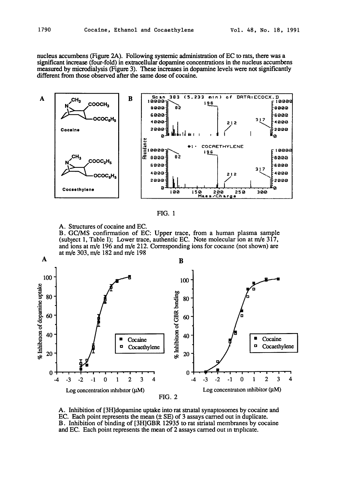nucleus accumbens (Figure 2A). Following systemic administration of EC to rats, there was a significant increase (four-fold) in extracellular dopamine concentrations in the nucleus accumbens measured by microdialysis (Figure 3). These increases in dopamine levels were not significantly different from those observed after the same dose of cocaine.





A. Structures of cocaine and EC.

B. GC/MS confirmation of EC: Upper trace, from a human plasma sample (subject 1, Table I); Lower trace, authentic EC. Note molecular ion at  $m/e$  317, and ions at m/e 196 and m/e 212. Corresponding ions for cocaine (not shown) are at m/e 303, rn/e 182 and m/e 198



A. Inhibition of [3H]dopamine uptake into rat stnatal synaptosomes by cocaine and EC. Each point represents the mean  $(± SE)$  of 3 assays carried out in duplicate. B. Inhibition of binding of [3H]GBR 12935 to rat striatal membranes by cocaine and EC. Each point represents the mean of 2 assays carried out in triplicate.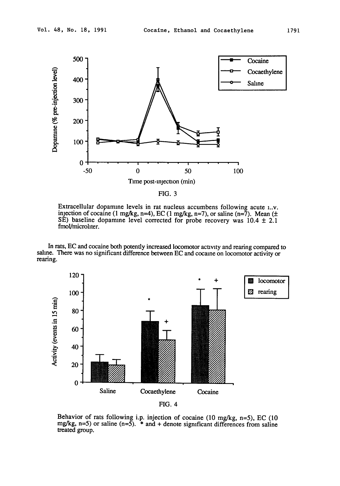

FIG. 3

Extracellular dopamine levels in rat nucleus accumbens following acute i..v. injection of cocaine (1 mg/kg, n=4), EC (1 mg/kg, n=7), or saline (n=7). Mean ( $\pm$ SE) baseline dopamine level corrected for probe recovery was  $10.4 \pm 2.1$ fmol/microhter.

In rats, EC and cocaine both potently increased locomotor activity and rearing compared to saline. There was no significant difference between EC and cocaine on locomotor activity or rearing.



FIG. 4

Behavior of rats following i.p. injection of cocaine (10 mg/kg, n=5), EC (10 mg/kg,  $n=5$ ) or saline ( $n=5$ ).  $*$  and  $+$  denote significant differences from saline treated group.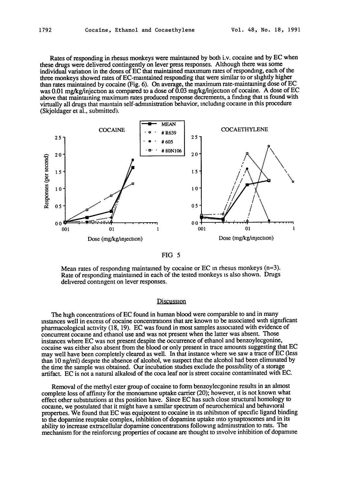Rates of responding in rhesus monkeys were maintained by both i.v. cocaine and by EC when these drugs were delivered contingently on lever press responses. Although there was some individual variation in the doses of EC that maintained maximum rates of responding, each of the three monkeys showed rates of EC-mamtained responding that were similar to or slightly higher than rates maintained by cocaine (Fig. 6). On average, the maximum rate-maintaining dose of EC was 0.01 mg/kg/injection as compared to a dose of  $\overline{0.03}$  mg/kg/injection of cocaine. A dose of EC above that maintaining maximum rates produced response decrements, a finding that is found with virtually all drugs that maintain self-administration behavior, including cocaine in this procedure (Skjoldager et al., submitted).



### FIG 5

Mean rates of responding maintained by cocaine or EC in rhesus monkeys  $(n=3)$ . Rate of responding maintained in each of the tested monkeys is also shown. Drugs delivered contingent on lever responses.

### Discussion

The high concentrations of EC found in human blood were comparable to and in many Instances well in excess of cocaine concentrations that are known to be associated with significant pharmacological activity (18, 19). EC was found in most samples associated with evidence of concurrent cocaine and ethanol use and was not present when the latter was absent. Those instances where EC was not present despite the occurrence of ethanol and benzoylecgonine, cocaine was either also absent from the blood or only present in trace amounts suggesting that EC may well have been completely cleared as well. In that instance where we saw a trace of EC (less than 10 ng/ml) despite the absence of alcohol, we suspect that the alcohol had been eliminated by the time the sample was obtained. Our incubation studies exclude the possibility of a storage artifact. EC is not a natural alkaloid of the coca leaf nor is street cocaine contaminated with EC.

Removal of the methyl ester group of cocaine to form benzoylecgonine results in an almost complete loss of affinity for the monoamme uptake carrier (20); however, it is not known what effect other substitutions at this position have. Since EC has such close structural homology to cocaine, we postulated that it might have a similar spectrum of neurochemical and behavioral properties. We found that EC was equipotent to cocaine in its inhibition of specific ligand binding to the dopamine reuptake complex, inhibition of dopamine uptake into synaptosomes and in its ability to increase extracellular dopamine concentrations following administration to rats. The mechanism for the reinforcing properties of cocaine are thought to involve inhibition of dopamlne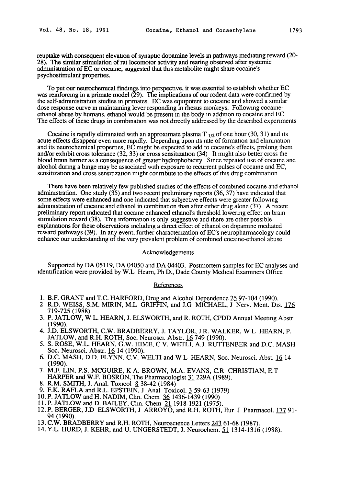reuptake with consequent elevation of synaptic dopamine levels in pathways mediating reward (20-28). The similar stimulation of rat locomotor activity and rearing observed after systemic administration of EC or cocaine, suggested that this metabolite might share cocaine's psychostimulant properties.

To put our neurochermcal findings into perspective, it was essential to establish whether EC was reinforcing in a primate model  $(29)$ . The implications of our rodent data were confirmed by the self-administration studies in primates. EC was equipotent to cocaine and showed a similar dose response curve in maintaining lever responding in rhesus monkeys. Following cocaineethanol abuse by humans, ethanol would be present m the body in addition to cocaine and EC The effects of these drugs in combination was not directly addressed by the described experiments

Cocaine is rapidly eliminated with an approximate plasma  $T_{1/2}$  of one hour (30, 31) and its acute effects disappear even more rapidly. Depending upon its rate of fonnatton and elimination and its neurochemical properues, EC might be expected to add to cocaine's effects, prolong them and/or exhibit cross tolerance  $(32, 33)$  or cross sensitization  $(34)$  It might also better cross the blood brain barrier as a consequence of greater hydrophobicity Since repeated use of cocaine and alcohol dunng a binge may be associated with exposure to recurrent pulses of cocaine and EC, sensitization and cross sensitization might contribute to the effects of this drug combination

There have been relatively few published studies of the effects of combined cocaine and ethanol administration. One study (35) and two recent prehminary reports (36, 37) have indicated that some effects were enhanced and one indicated that subjective effects were greater following administration of cocaine and ethanol in combination than after either drug alone  $(37)$  A recent preliminary report indicated that cocaine enhanced ethanol's threshold lowering effect on brain stimulation reward (38). This information is only suggestive and there are other possible explanations for these observations including a direct effect of ethanol on dopamine mediated reward pathways (39). In any event, further characterization of EC's neuropharmacology could enhance our understanding of the very prevalent problem of combined cocaine-ethanol abuse

### **Acknowledgements**

Supported by DA 05119, DA 04050 and DA 04403. Postmortem samples for EC analyses and identification were provided by W.L Hearn, Ph D., Dade County Medical Examiners Office

#### References

- 1. B.F. GRANT and T.C. HARFORD, Drug and Alcohol Dependence 25 97-104 (1990).
- 2 R.D. WEISS, S.M. MIRIN, M.L GRIFFIN, and J.G MICHAEL, J Nerv. Ment. Dis. 176 719-725 (1988).
- 3. P. JATLOW, W L. HEARN, J. ELSWORTH, and R. ROTH, CPDD Annual Meeting Abstr (1990).
- 4. J.D. ELSWORTH, C.W. BRADBERRY, J. TAYLOR, J R. WALKER, W L HEARN, P. JATLOW, and R.H. ROTH, Soc. Neuroscl. Abstr. 16 749 (1990).
- 5. S. ROSE, W.L. HEARN, G.W. HIME, C V. WETLI, A.J. RUTTENBER and D.C. MASH Soc. Neurosci. Abstr. 16 14 (1990).
- 6. D.C. MASH, D.D. FLYNN, C.V. WELTI and W L HEARN, Soc. Neurosci. Abst. 16 14 (1990).
- 7. M.F. LIN, P.S. MCGUIRE, K A. BROWN, M.A. EVANS, C.R CHRISTIAN, E.T HARPER and W.F. BOSRON, The Pharmacologist 31 229A (1989).
- 8. R.M. SMITH, J. Anal. Toxicol 8 38-42 (1984)
- 9. F.K. RAFLA and R.L. EPSTEIN, J Anal Toxicol. 3 59-63 (1979)
- 10. P. JATLOW and H. NADIM, Clin. Chem 36 1436-1439 (1990)
- 11. P. JATLOW and D. BAILEY, Chn. Chem 21 1918-1921 (1975).
- 12. P. BERGER, J.D ELSWORTH, J ARROYO, and R.H. ROTH, Eur J Pharmacol. 177 91-94 (1990).
- 13. C.W. BRADBERRY and R.H. ROTH, Neuroscience Letters 243 61-68 (1987).
- 14. Y.L. HURD, J. KEHR, and U. UNGERSTEDT, J. Neurochem. 51 1314-1316 (1988).